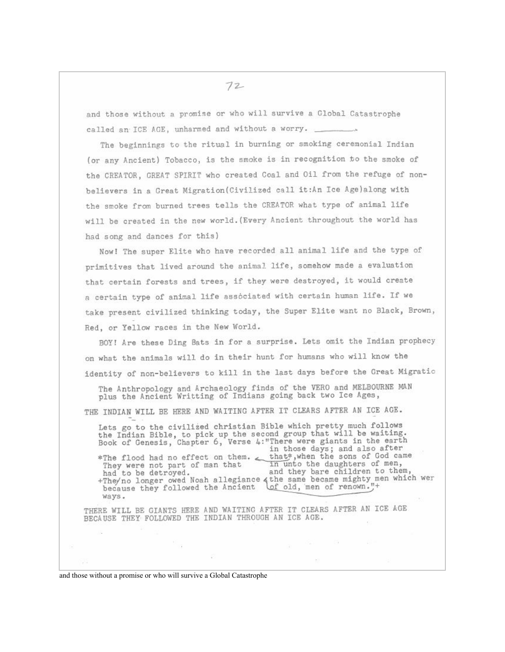$72-$ 

and those without a promise or who will survive a Global Catastrophe called an ICE AGE, unharmed and without a worry.

The beginnings to the ritual in burning or smoking ceremonial Indian (or any Ancient) Tobacco, is the smoke is in recognition to the smoke of the CREATOR, GREAT SPIRIT who created Coal and Oil from the refuge of nonbelievers in a Great Migration (Civilized call it:An Ice Age) along with the smoke from burned trees tells the CREATOR what type of animal life will be created in the new world. (Every Ancient throughout the world has had song and dances for this)

Now! The super Elite who have recorded all animal life and the type of primitives that lived around the animal life, somehow made a evaluation that certain forests and trees, if they were destroyed, it would create a certain type of animal life associated with certain human life. If we take present civilized thinking today, the Super Elite want no Black, Brown, Red, or Yellow races in the New World.

BOY! Are these Ding Bats in for a surprise. Lets omit the Indian prophecy on what the animals will do in their hunt for humans who will know the identity of non-believers to kill in the last days before the Great Migratio

The Anthropology and Archaeology finds of the VERO and MELBOURNE MAN plus the Ancient Writting of Indians going back two Ice Ages,

THE INDIAN WILL BE HERE AND WAITING AFTER IT CLEARS AFTER AN ICE AGE.

Lets go to the civilized christian Bible which pretty much follows the Indian Bible, to pick up the second group that will be waiting.<br>Book of Genesis, Chapter 6, Verse 4:"There were giants in the earth in those days; and also after \*The flood had no effect on them. that\*, when the sons of God came<br>They were not part of man that in unto the daughters of men, They were not part of man that<br>had to be detroyed. and they bare children to them, +The/no longer owed Noah allegiance othe same became mighty men which wer because they followed the Ancient Lof old, men of renown."+ ways.

THERE WILL BE GIANTS HERE AND WAITING AFTER IT CLEARS AFTER AN ICE AGE BECAUSE THEY FOLLOWED THE INDIAN THROUGH AN ICE AGE.

and those without a promise or who will survive a Global Catastrophe